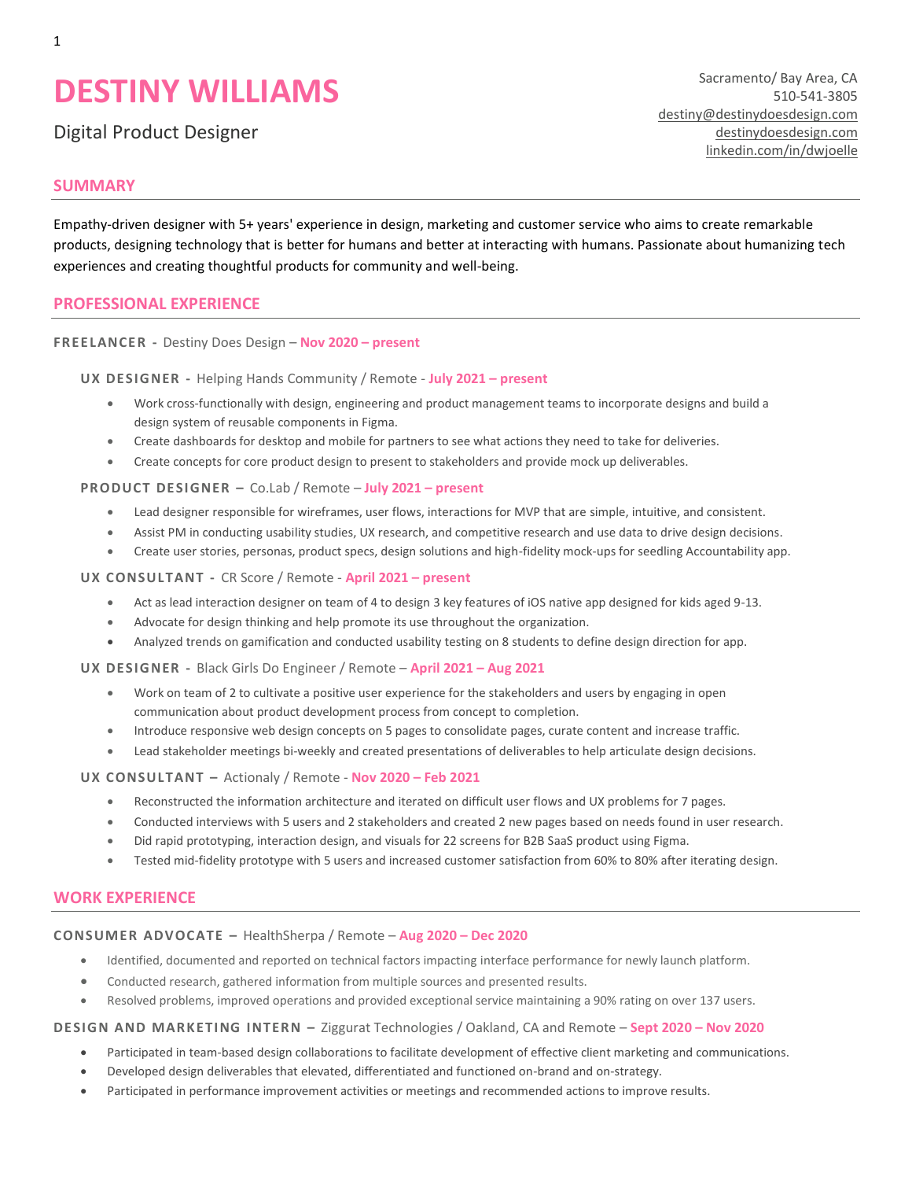# **DESTINY WILLIAMS**

Digital Product Designer

**SUMMARY**

Sacramento/ Bay Area, CA 510-541-3805 [destiny@destinydoesdesign.com](mailto:destiny@destinydoesdesign.com) [destinydoesdesign.com](https://www.destinydoesdesign.com/) [linkedin.com/in/dwjoelle](https://www.linkedin.com/in/dwjoelle)

# Empathy-driven designer with 5+ years' experience in design, marketing and customer service who aims to create remarkable products, designing technology that is better for humans and better at interacting with humans. Passionate about humanizing tech experiences and creating thoughtful products for community and well-being.

# **PROFESSIONAL EXPERIENCE**

## **FREELANCER -** Destiny Does Design – **Nov 2020 – present**

**UX DESIGNER -** Helping Hands Community / Remote - **July 2021 – present**

- Work cross-functionally with design, engineering and product management teams to incorporate designs and build a design system of reusable components in Figma.
- Create dashboards for desktop and mobile for partners to see what actions they need to take for deliveries.
- Create concepts for core product design to present to stakeholders and provide mock up deliverables.

## **PRODUCT DESIGNER –** Co.Lab / Remote – **July 2021 – present**

- Lead designer responsible for wireframes, user flows, interactions for MVP that are simple, intuitive, and consistent.
- Assist PM in conducting usability studies, UX research, and competitive research and use data to drive design decisions.
- Create user stories, personas, product specs, design solutions and high-fidelity mock-ups for seedling Accountability app.

## **UX CONSULTANT -** CR Score / Remote - **April 2021 – present**

- Act as lead interaction designer on team of 4 to design 3 key features of iOS native app designed for kids aged 9-13.
- Advocate for design thinking and help promote its use throughout the organization.
- Analyzed trends on gamification and conducted usability testing on 8 students to define design direction for app.

**UX DESIGNER -** Black Girls Do Engineer / Remote – **April 2021 – Aug 2021**

- Work on team of 2 to cultivate a positive user experience for the stakeholders and users by engaging in open communication about product development process from concept to completion.
- Introduce responsive web design concepts on 5 pages to consolidate pages, curate content and increase traffic.
- Lead stakeholder meetings bi-weekly and created presentations of deliverables to help articulate design decisions.

## **UX CONSULTANT –** Actionaly / Remote - **Nov 2020 – Feb 2021**

- Reconstructed the information architecture and iterated on difficult user flows and UX problems for 7 pages.
- Conducted interviews with 5 users and 2 stakeholders and created 2 new pages based on needs found in user research.
- Did rapid prototyping, interaction design, and visuals for 22 screens for B2B SaaS product using Figma.
- Tested mid-fidelity prototype with 5 users and increased customer satisfaction from 60% to 80% after iterating design.

# **WORK EXPERIENCE**

# **CONSUMER ADVOCATE –** HealthSherpa / Remote – **Aug 2020 – Dec 2020**

- Identified, documented and reported on technical factors impacting interface performance for newly launch platform.
- Conducted research, gathered information from multiple sources and presented results.
- Resolved problems, improved operations and provided exceptional service maintaining a 90% rating on over 137 users.

# **DESIGN AND MARKETING INTERN –** Ziggurat Technologies / Oakland, CA and Remote – **Sept 2020 – Nov 2020**

- Participated in team-based design collaborations to facilitate development of effective client marketing and communications.
- Developed design deliverables that elevated, differentiated and functioned on-brand and on-strategy.
- Participated in performance improvement activities or meetings and recommended actions to improve results.